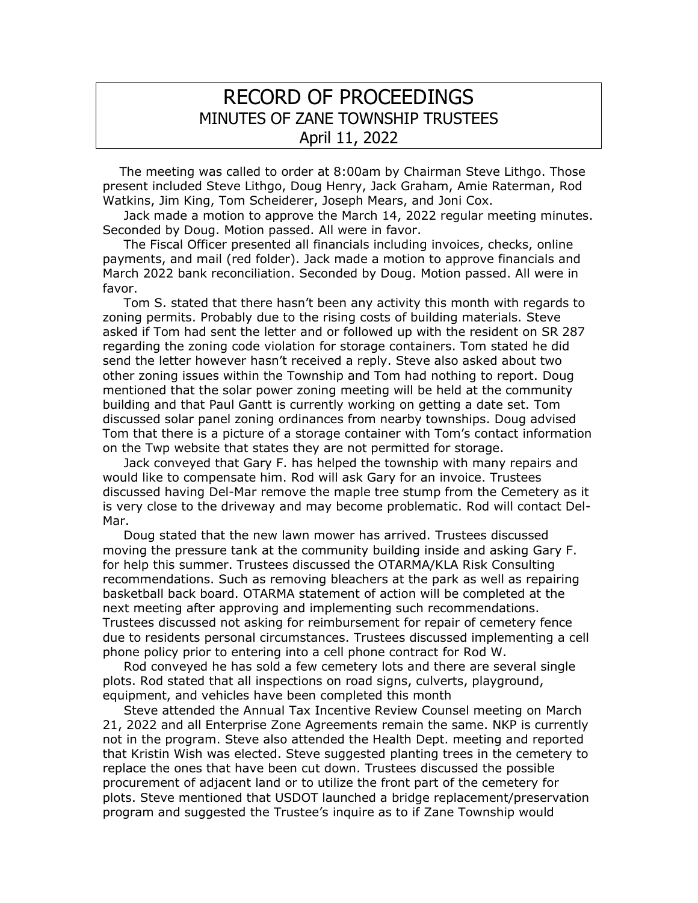## RECORD OF PROCEEDINGS MINUTES OF ZANE TOWNSHIP TRUSTEES April 11, 2022

 The meeting was called to order at 8:00am by Chairman Steve Lithgo. Those present included Steve Lithgo, Doug Henry, Jack Graham, Amie Raterman, Rod Watkins, Jim King, Tom Scheiderer, Joseph Mears, and Joni Cox.

 Jack made a motion to approve the March 14, 2022 regular meeting minutes. Seconded by Doug. Motion passed. All were in favor.

 The Fiscal Officer presented all financials including invoices, checks, online payments, and mail (red folder). Jack made a motion to approve financials and March 2022 bank reconciliation. Seconded by Doug. Motion passed. All were in favor.

 Tom S. stated that there hasn't been any activity this month with regards to zoning permits. Probably due to the rising costs of building materials. Steve asked if Tom had sent the letter and or followed up with the resident on SR 287 regarding the zoning code violation for storage containers. Tom stated he did send the letter however hasn't received a reply. Steve also asked about two other zoning issues within the Township and Tom had nothing to report. Doug mentioned that the solar power zoning meeting will be held at the community building and that Paul Gantt is currently working on getting a date set. Tom discussed solar panel zoning ordinances from nearby townships. Doug advised Tom that there is a picture of a storage container with Tom's contact information on the Twp website that states they are not permitted for storage.

 Jack conveyed that Gary F. has helped the township with many repairs and would like to compensate him. Rod will ask Gary for an invoice. Trustees discussed having Del-Mar remove the maple tree stump from the Cemetery as it is very close to the driveway and may become problematic. Rod will contact Del-Mar.

 Doug stated that the new lawn mower has arrived. Trustees discussed moving the pressure tank at the community building inside and asking Gary F. for help this summer. Trustees discussed the OTARMA/KLA Risk Consulting recommendations. Such as removing bleachers at the park as well as repairing basketball back board. OTARMA statement of action will be completed at the next meeting after approving and implementing such recommendations. Trustees discussed not asking for reimbursement for repair of cemetery fence due to residents personal circumstances. Trustees discussed implementing a cell phone policy prior to entering into a cell phone contract for Rod W.

 Rod conveyed he has sold a few cemetery lots and there are several single plots. Rod stated that all inspections on road signs, culverts, playground, equipment, and vehicles have been completed this month

 Steve attended the Annual Tax Incentive Review Counsel meeting on March 21, 2022 and all Enterprise Zone Agreements remain the same. NKP is currently not in the program. Steve also attended the Health Dept. meeting and reported that Kristin Wish was elected. Steve suggested planting trees in the cemetery to replace the ones that have been cut down. Trustees discussed the possible procurement of adjacent land or to utilize the front part of the cemetery for plots. Steve mentioned that USDOT launched a bridge replacement/preservation program and suggested the Trustee's inquire as to if Zane Township would